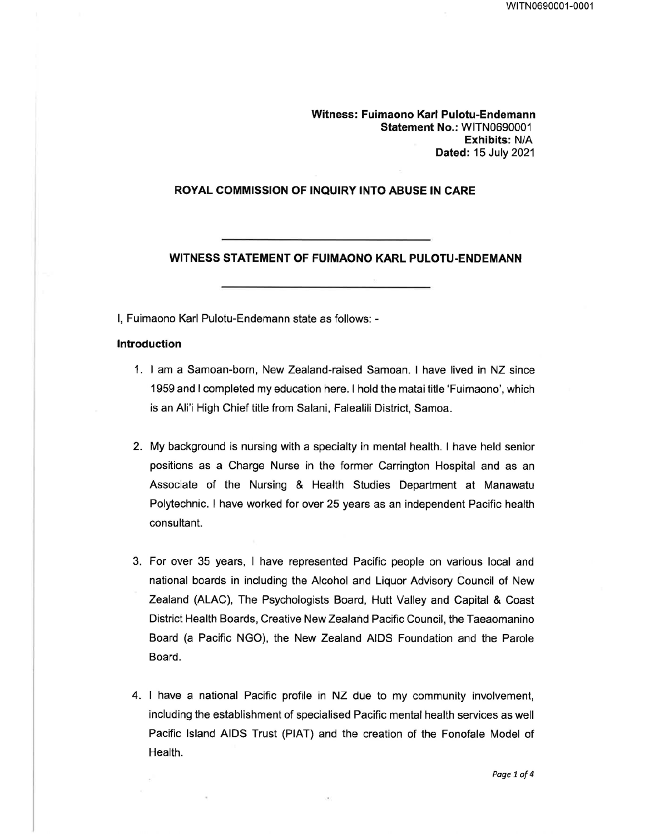Witness: Fuimaono Karl Pulotu-Endemann Statement No.: WITN0690001 Exhibits: N/A Dated: 15 July 2021

#### ROYAL COMMISSION OF INQUIRY INTO ABUSE IN CARE

WITNESS STATEMENT OF FUIMAONO KARL PULOTU-ENDEMANN

I, Fuimaono Karl Pulotu-Endemann state as follows: -

## Introduction

- 1. I am a Samoan-born, New Zealand-raised Samoan. I have lived in NZ since 1959 and I completed my education here. I hold the matai title 'Fuimaono', which is an Ali'i High Chief title from Salani, Falealili District, Samoa.
- 2. My background is nursing with a specialty in mental health. I have held senior positions as a Charge Nurse in the former Carrington Hospital and as an Associate of the Nursing & Health Studies Department at Manawatu Polytechnic. I have worked for over 25 years as an independent Pacific health consultant.
- 3. For over 35 years, I have represented Pacific people on various local and national boards in including the Alcohol and Liquor Advisory Council of New Zealand (ALAC), The Psychologists Board, Hutt Valley and Capital & Coast District Health Boards, Creative New Zealand Pacific Council, the Taeaomanino Board (a Pacific NGO), the New Zealand AIDS Foundation and the Parole Board.
- 4. I have a national Pacific profile in NZ due to my community involvement, including the establishment of specialised Pacific mental health services as well Pacific Island AIDS Trust (PIAT) and the creation of the Fonofale Model of Health.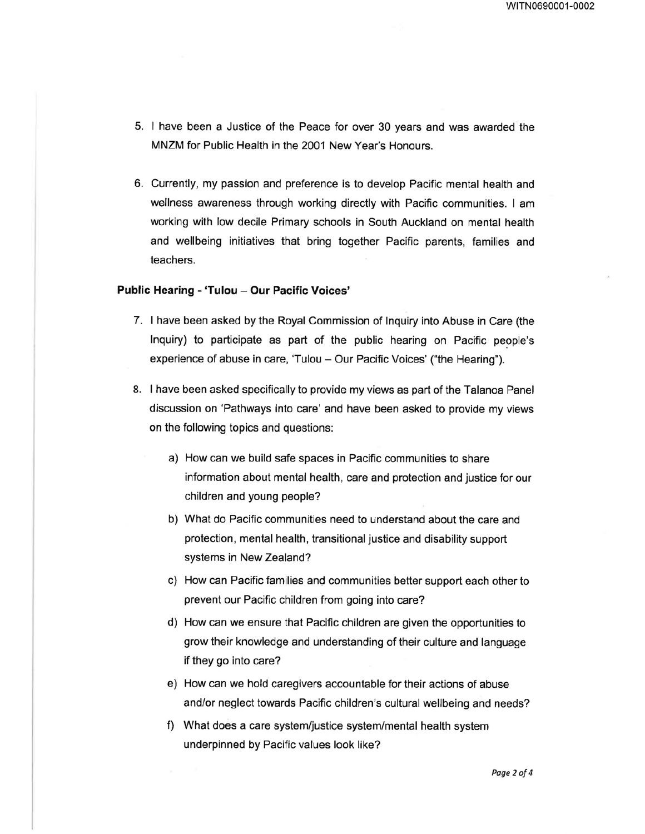- 5. I have been a Justice of the Peace for over 30 years and was awarded the MNZM for Public Health in the 2001 New Year's Honours.
- 6. Currently, my passion and preference is to develop Pacific mental health and wellness awareness through working directly with Pacific communities. I am working with low decile Primary schools in South Auckland on mental health and wellbeing initiatives that bring together Pacific parents, families and teachers.

### Public Hearing - 'Tulou - Our Pacific Voices'

- 7. I have been asked by the Royal Commission of Inquiry into Abuse in Care (the Inquiry) to participate as part of the public hearing on Pacific people's experience of abuse in care, 'Tulou — Our Pacific Voices' ("the Hearing").
- 8. I have been asked specifically to provide my views as part of the Talanoa Panel discussion on 'Pathways into care' and have been asked to provide my views on the following topics and questions:
	- a) How can we build safe spaces in Pacific communities to share information about mental health, care and protection and justice for our children and young people?
	- b) What do Pacific communities need to understand about the care and protection, mental health, transitional justice and disability support systems in New Zealand?
	- c) How can Pacific families and communities better support each other to prevent our Pacific children from going into care?
	- d) How can we ensure that Pacific children are given the opportunities to grow their knowledge and understanding of their culture and language if they go into care?
	- e) How can we hold caregivers accountable for their actions of abuse and/or neglect towards Pacific children's cultural wellbeing and needs?
	- f) What does a care system/justice system/mental health system underpinned by Pacific values look like?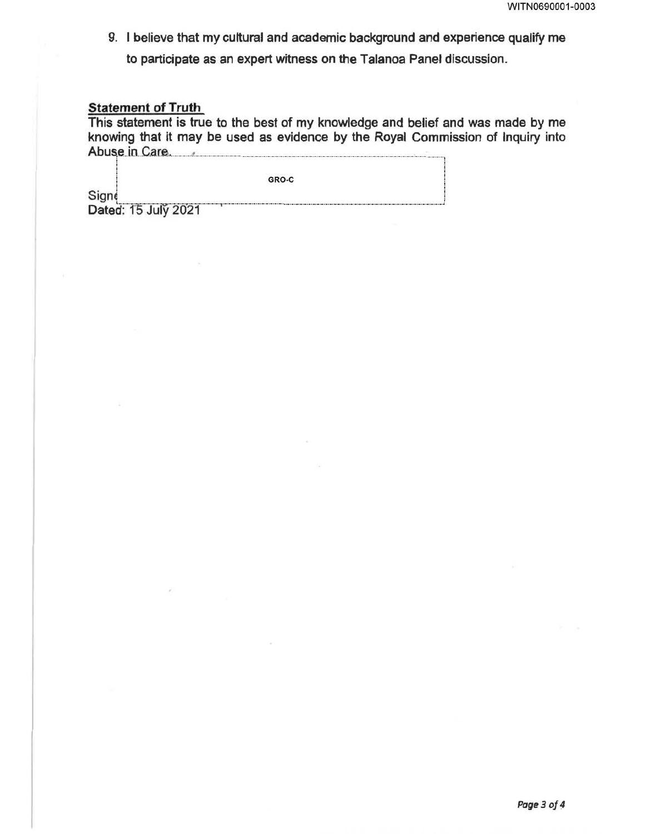9. I believe that my cultural and academic background and experience qualify me to participate as an expert witness on the Talanoa Panel discussion.

# **Statement of Truth**

This statement is true to the best of my knowledge and belief and was made by me knowing that it may be used as evidence by the Royal Commission of Inquiry into Abuse in Care, Abuse, and Abuse in Care, Abuse in Care, Abuse in Care, Abuse in Care, Abuse in Care, Abuse in Care, Abuse in Care, Abuse in Care, Abuse in Care, Abuse in Care, Abuse in Care, Abuse in Care, Abuse in Care, A

|                     | GRO-C |  |
|---------------------|-------|--|
| Signe               |       |  |
| Dated: 15 July 2021 |       |  |